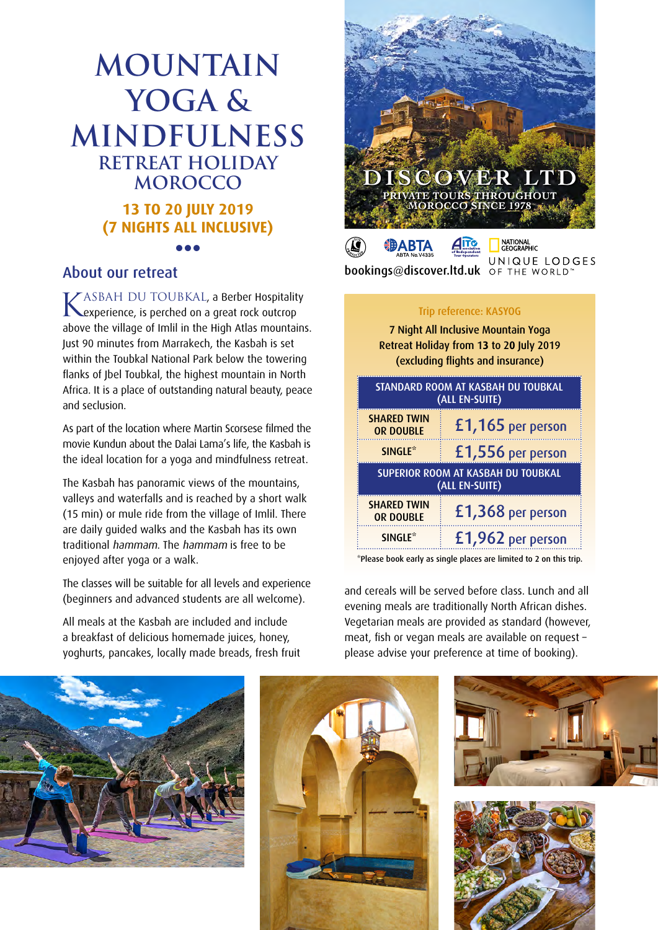# **Mountain Yoga & Mindfulness Retreat holiday Morocco 13 TO 20 JULY 2019 (7 NIGHTS ALL INCLUSIVE) •••**

KASBAH DU TOUBKAL, a Berber Hospitality<br>Kexperience, is perched on a great rock outcrop above the village of Imlil in the High Atlas mountains. Just 90 minutes from Marrakech, the Kasbah is set within the Toubkal National Park below the towering flanks of Jbel Toubkal, the highest mountain in North Africa. It is a place of outstanding natural beauty, peace and seclusion.

As part of the location where Martin Scorsese filmed the movie Kundun about the Dalai Lama's life, the Kasbah is the ideal location for a yoga and mindfulness retreat.

The Kasbah has panoramic views of the mountains, valleys and waterfalls and is reached by a short walk (15 min) or mule ride from the village of Imlil. There are daily guided walks and the Kasbah has its own traditional hammam. The hammam is free to be enjoyed after yoga or a walk.

The classes will be suitable for all levels and experience (beginners and advanced students are all welcome).

All meals at the Kasbah are included and include a breakfast of delicious homemade juices, honey, yoghurts, pancakes, locally made breads, fresh fruit



About our retreat bookings@discover.Itd.uk OF THE WORLD

#### Trip reference: KASYOG

7 Night All Inclusive Mountain Yoga Retreat Holiday from 1**3** to 2**0** July 2019 (excluding flights and insurance)

| <b>STANDARD ROOM AT KASBAH DU TOUBKAL</b><br>(ALL EN-SUITE) |                   |
|-------------------------------------------------------------|-------------------|
| <b>SHARED TWIN</b><br><b>OR DOUBLE</b>                      | £1,165 per person |
| SINGLE <sup>*</sup>                                         | £1,556 per person |
| <b>SUPERIOR ROOM AT KASBAH DU TOUBKAL</b><br>(ALL EN-SUITE) |                   |
| <b>SHARED TWIN</b><br><b>OR DOUBLE</b>                      | £1,368 per person |
| <b>SINGLE*</b>                                              | £1,962 per person |

\*Please book early as single places are limited to 2 on this trip.

and cereals will be served before class. Lunch and all evening meals are traditionally North African dishes. Vegetarian meals are provided as standard (however, meat, fish or vegan meals are available on request – please advise your preference at time of booking).





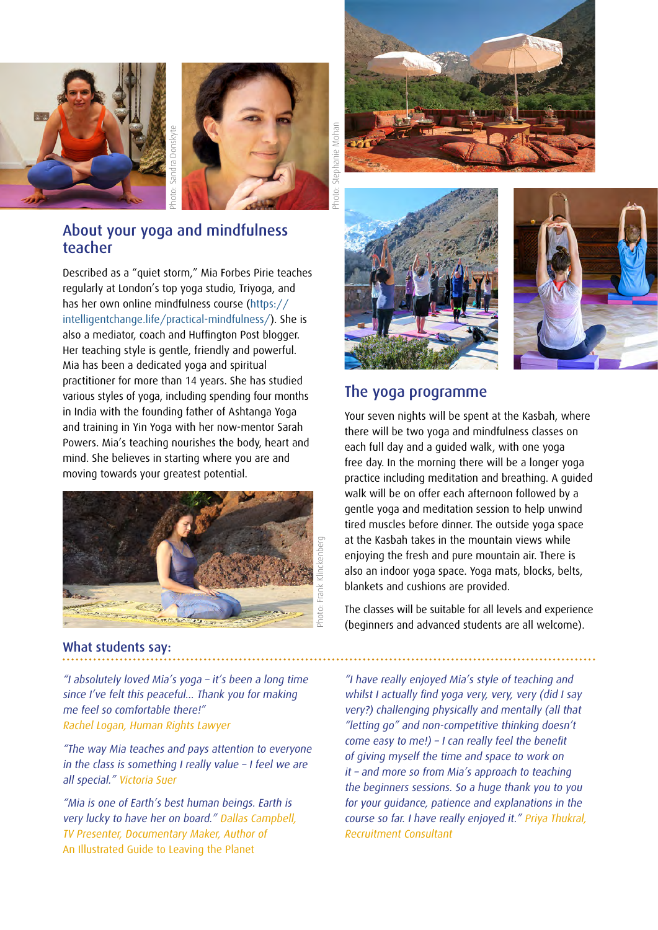



### About your yoga and mindfulness teacher

Described as a "quiet storm," Mia Forbes Pirie teaches regularly at London's top yoga studio, Triyoga, and has her own online mindfulness course ([https://](https://intelligentchange.life/practical-mindfulness/) [intelligentchange.life/practical-mindfulness/\)](https://intelligentchange.life/practical-mindfulness/). She is also a mediator, coach and Huffington Post blogger. Her teaching style is gentle, friendly and powerful. Mia has been a dedicated yoga and spiritual practitioner for more than 14 years. She has studied various styles of yoga, including spending four months in India with the founding father of Ashtanga Yoga and training in Yin Yoga with her now-mentor Sarah Powers. Mia's teaching nourishes the body, heart and mind. She believes in starting where you are and moving towards your greatest potential.



#### What students say:

"I absolutely loved Mia's yoga – it's been a long time since I've felt this peaceful... Thank you for making me feel so comfortable there!" Rachel Logan, Human Rights Lawyer

"The way Mia teaches and pays attention to everyone in the class is something I really value – I feel we are all special." Victoria Suer

"Mia is one of Earth's best human beings. Earth is very lucky to have her on board." Dallas Campbell, TV Presenter, Documentary Maker, Author of An Illustrated Guide to Leaving the Planet







#### The yoga programme

Your seven nights will be spent at the Kasbah, where there will be two yoga and mindfulness classes on each full day and a guided walk, with one yoga free day. In the morning there will be a longer yoga practice including meditation and breathing. A guided walk will be on offer each afternoon followed by a gentle yoga and meditation session to help unwind tired muscles before dinner. The outside yoga space at the Kasbah takes in the mountain views while enjoying the fresh and pure mountain air. There is also an indoor yoga space. Yoga mats, blocks, belts, blankets and cushions are provided.

The classes will be suitable for all levels and experience (beginners and advanced students are all welcome).

"I have really enjoyed Mia's style of teaching and whilst I actually find yoga very, very, very (did I say very?) challenging physically and mentally (all that "letting go" and non-competitive thinking doesn't come easy to me!) – I can really feel the benefit of giving myself the time and space to work on it – and more so from Mia's approach to teaching the beginners sessions. So a huge thank you to you for your guidance, patience and explanations in the course so far. I have really enjoyed it." Priya Thukral, Recruitment Consultant